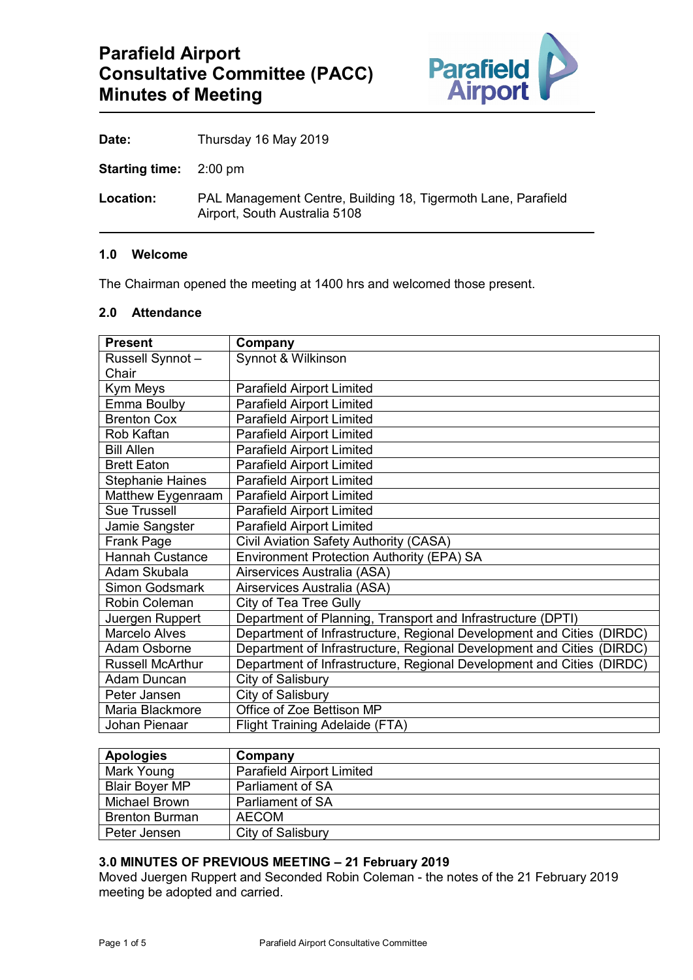

**Date:** Thursday 16 May 2019

**Starting time:** 2:00 pm

**Location:** PAL Management Centre, Building 18, Tigermoth Lane, Parafield Airport, South Australia 5108

### **1.0 Welcome**

The Chairman opened the meeting at 1400 hrs and welcomed those present.

# **2.0 Attendance**

| <b>Present</b>          | Company                                                               |  |  |
|-------------------------|-----------------------------------------------------------------------|--|--|
| Russell Synnot-         | Synnot & Wilkinson                                                    |  |  |
| Chair                   |                                                                       |  |  |
| Kym Meys                | <b>Parafield Airport Limited</b>                                      |  |  |
| Emma Boulby             | <b>Parafield Airport Limited</b>                                      |  |  |
| <b>Brenton Cox</b>      | <b>Parafield Airport Limited</b>                                      |  |  |
| Rob Kaftan              | <b>Parafield Airport Limited</b>                                      |  |  |
| <b>Bill Allen</b>       | <b>Parafield Airport Limited</b>                                      |  |  |
| <b>Brett Eaton</b>      | <b>Parafield Airport Limited</b>                                      |  |  |
| <b>Stephanie Haines</b> | <b>Parafield Airport Limited</b>                                      |  |  |
| Matthew Eygenraam       | <b>Parafield Airport Limited</b>                                      |  |  |
| <b>Sue Trussell</b>     | <b>Parafield Airport Limited</b>                                      |  |  |
| Jamie Sangster          | <b>Parafield Airport Limited</b>                                      |  |  |
| Frank Page              | Civil Aviation Safety Authority (CASA)                                |  |  |
| <b>Hannah Custance</b>  | <b>Environment Protection Authority (EPA) SA</b>                      |  |  |
| Adam Skubala            | Airservices Australia (ASA)                                           |  |  |
| <b>Simon Godsmark</b>   | Airservices Australia (ASA)                                           |  |  |
| Robin Coleman           | City of Tea Tree Gully                                                |  |  |
| Juergen Ruppert         | Department of Planning, Transport and Infrastructure (DPTI)           |  |  |
| <b>Marcelo Alves</b>    | Department of Infrastructure, Regional Development and Cities (DIRDC) |  |  |
| Adam Osborne            | Department of Infrastructure, Regional Development and Cities (DIRDC) |  |  |
| <b>Russell McArthur</b> | Department of Infrastructure, Regional Development and Cities (DIRDC) |  |  |
| <b>Adam Duncan</b>      | City of Salisbury                                                     |  |  |
| Peter Jansen            | City of Salisbury                                                     |  |  |
| Maria Blackmore         | Office of Zoe Bettison MP                                             |  |  |
| Johan Pienaar           | <b>Flight Training Adelaide (FTA)</b>                                 |  |  |

| <b>Apologies</b>      | Company                          |
|-----------------------|----------------------------------|
| Mark Young            | <b>Parafield Airport Limited</b> |
| <b>Blair Boyer MP</b> | Parliament of SA                 |
| <b>Michael Brown</b>  | Parliament of SA                 |
| <b>Brenton Burman</b> | <b>AECOM</b>                     |
| Peter Jensen          | City of Salisbury                |

# **3.0 MINUTES OF PREVIOUS MEETING – 21 February 2019**

Moved Juergen Ruppert and Seconded Robin Coleman - the notes of the 21 February 2019 meeting be adopted and carried.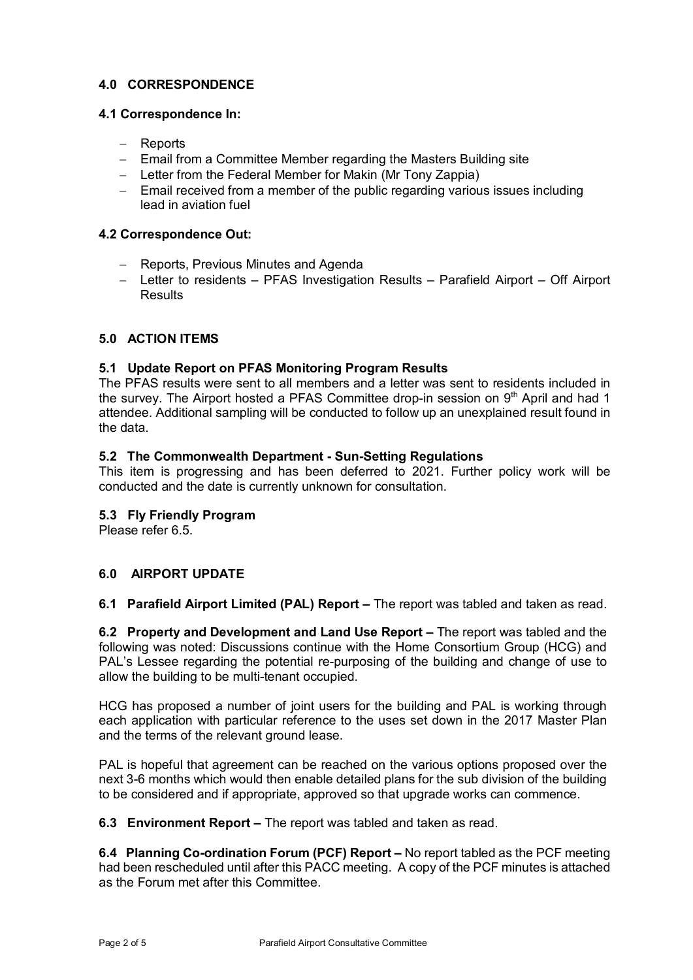# **4.0 CORRESPONDENCE**

# **4.1 Correspondence In:**

- − Reports
- − Email from a Committee Member regarding the Masters Building site
- − Letter from the Federal Member for Makin (Mr Tony Zappia)
- − Email received from a member of the public regarding various issues including lead in aviation fuel

# **4.2 Correspondence Out:**

- − Reports, Previous Minutes and Agenda
- − Letter to residents PFAS Investigation Results Parafield Airport Off Airport Results

# **5.0 ACTION ITEMS**

# **5.1 Update Report on PFAS Monitoring Program Results**

The PFAS results were sent to all members and a letter was sent to residents included in the survey. The Airport hosted a PFAS Committee drop-in session on 9<sup>th</sup> April and had 1 attendee. Additional sampling will be conducted to follow up an unexplained result found in the data.

# **5.2 The Commonwealth Department - Sun-Setting Regulations**

This item is progressing and has been deferred to 2021. Further policy work will be conducted and the date is currently unknown for consultation.

# **5.3 Fly Friendly Program**

Please refer 6.5

# **6.0 AIRPORT UPDATE**

**6.1 Parafield Airport Limited (PAL) Report –** The report was tabled and taken as read.

**6.2 Property and Development and Land Use Report –** The report was tabled and the following was noted: Discussions continue with the Home Consortium Group (HCG) and PAL's Lessee regarding the potential re-purposing of the building and change of use to allow the building to be multi-tenant occupied.

HCG has proposed a number of joint users for the building and PAL is working through each application with particular reference to the uses set down in the 2017 Master Plan and the terms of the relevant ground lease.

PAL is hopeful that agreement can be reached on the various options proposed over the next 3-6 months which would then enable detailed plans for the sub division of the building to be considered and if appropriate, approved so that upgrade works can commence.

**6.3 Environment Report –** The report was tabled and taken as read.

**6.4 Planning Co-ordination Forum (PCF) Report –** No report tabled as the PCF meeting had been rescheduled until after this PACC meeting. A copy of the PCF minutes is attached as the Forum met after this Committee.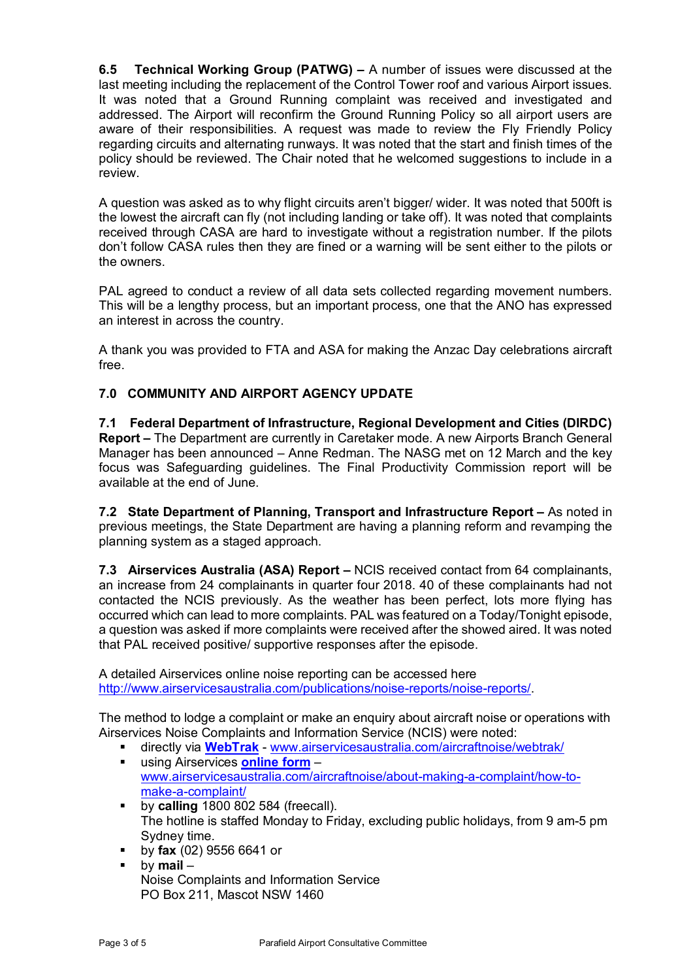**6.5 Technical Working Group (PATWG) –** A number of issues were discussed at the last meeting including the replacement of the Control Tower roof and various Airport issues. It was noted that a Ground Running complaint was received and investigated and addressed. The Airport will reconfirm the Ground Running Policy so all airport users are aware of their responsibilities. A request was made to review the Fly Friendly Policy regarding circuits and alternating runways. It was noted that the start and finish times of the policy should be reviewed. The Chair noted that he welcomed suggestions to include in a review.

A question was asked as to why flight circuits aren't bigger/ wider. It was noted that 500ft is the lowest the aircraft can fly (not including landing or take off). It was noted that complaints received through CASA are hard to investigate without a registration number. If the pilots don't follow CASA rules then they are fined or a warning will be sent either to the pilots or the owners.

PAL agreed to conduct a review of all data sets collected regarding movement numbers. This will be a lengthy process, but an important process, one that the ANO has expressed an interest in across the country.

A thank you was provided to FTA and ASA for making the Anzac Day celebrations aircraft free.

# **7.0 COMMUNITY AND AIRPORT AGENCY UPDATE**

**7.1 Federal Department of Infrastructure, Regional Development and Cities (DIRDC) Report –** The Department are currently in Caretaker mode. A new Airports Branch General Manager has been announced – Anne Redman. The NASG met on 12 March and the key focus was Safeguarding guidelines. The Final Productivity Commission report will be available at the end of June.

**7.2 State Department of Planning, Transport and Infrastructure Report –** As noted in previous meetings, the State Department are having a planning reform and revamping the planning system as a staged approach.

**7.3 Airservices Australia (ASA) Report –** NCIS received contact from 64 complainants, an increase from 24 complainants in quarter four 2018. 40 of these complainants had not contacted the NCIS previously. As the weather has been perfect, lots more flying has occurred which can lead to more complaints. PAL was featured on a Today/Tonight episode, a question was asked if more complaints were received after the showed aired. It was noted that PAL received positive/ supportive responses after the episode.

A detailed Airservices online noise reporting can be accessed here [http://www.airservicesaustralia.com/publications/noise-reports/noise-reports/.](http://www.airservicesaustralia.com/publications/noise-reports/noise-reports/)

The method to lodge a complaint or make an enquiry about aircraft noise or operations with Airservices Noise Complaints and Information Service (NCIS) were noted:

- directly via [WebTrak](http://www.airservicesaustralia.com/aircraftnoise/webtrak/) [www.airservicesaustralia.com/aircraftnoise/webtrak/](http://www.airservicesaustralia.com/aircraftnoise/webtrak/)<br>■ using Airservices online form using Airservices **[online form](https://complaints.bksv.com/asa)** –
- [www.airservicesaustralia.com/aircraftnoise/about-making-a-complaint/how-to](http://www.airservicesaustralia.com/aircraftnoise/about-making-a-complaint/how-to-make-a-complaint/)[make-a-complaint/](http://www.airservicesaustralia.com/aircraftnoise/about-making-a-complaint/how-to-make-a-complaint/)
- **by calling** 1800 802 584 (freecall). The hotline is staffed Monday to Friday, excluding public holidays, from 9 am-5 pm Sydney time.
- by **fax** (02) 9556 6641 or
- by **mail** Noise Complaints and Information Service PO Box 211, Mascot NSW 1460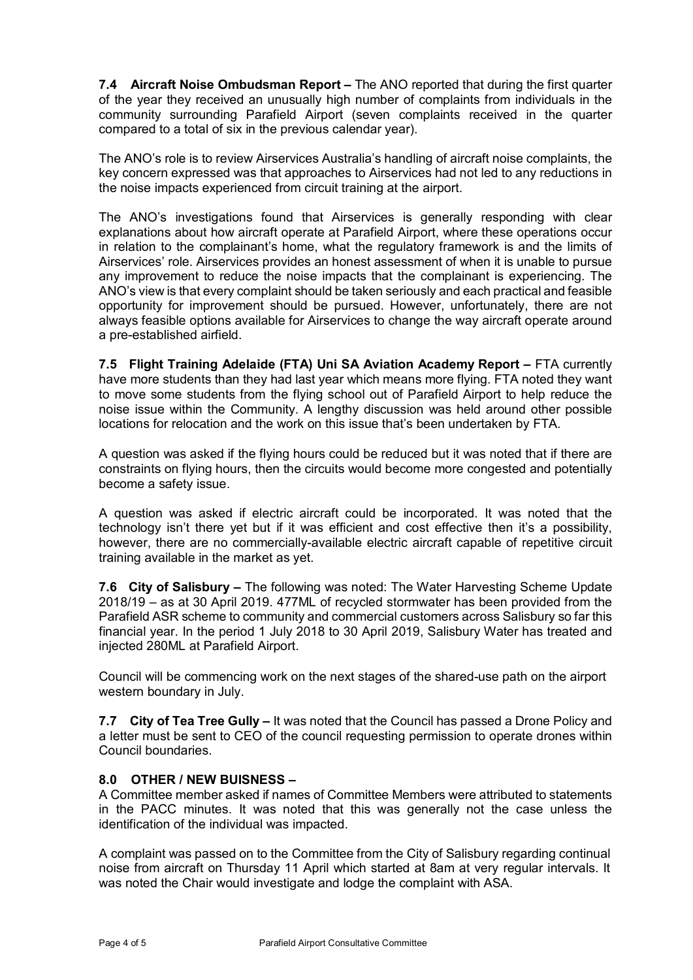**7.4 Aircraft Noise Ombudsman Report –** The ANO reported that during the first quarter of the year they received an unusually high number of complaints from individuals in the community surrounding Parafield Airport (seven complaints received in the quarter compared to a total of six in the previous calendar year).

The ANO's role is to review Airservices Australia's handling of aircraft noise complaints, the key concern expressed was that approaches to Airservices had not led to any reductions in the noise impacts experienced from circuit training at the airport.

The ANO's investigations found that Airservices is generally responding with clear explanations about how aircraft operate at Parafield Airport, where these operations occur in relation to the complainant's home, what the regulatory framework is and the limits of Airservices' role. Airservices provides an honest assessment of when it is unable to pursue any improvement to reduce the noise impacts that the complainant is experiencing. The ANO's view is that every complaint should be taken seriously and each practical and feasible opportunity for improvement should be pursued. However, unfortunately, there are not always feasible options available for Airservices to change the way aircraft operate around a pre-established airfield.

**7.5 Flight Training Adelaide (FTA) Uni SA Aviation Academy Report –** FTA currently have more students than they had last year which means more flying. FTA noted they want to move some students from the flying school out of Parafield Airport to help reduce the noise issue within the Community. A lengthy discussion was held around other possible locations for relocation and the work on this issue that's been undertaken by FTA.

A question was asked if the flying hours could be reduced but it was noted that if there are constraints on flying hours, then the circuits would become more congested and potentially become a safety issue.

A question was asked if electric aircraft could be incorporated. It was noted that the technology isn't there yet but if it was efficient and cost effective then it's a possibility, however, there are no commercially-available electric aircraft capable of repetitive circuit training available in the market as yet.

**7.6 City of Salisbury –** The following was noted: The Water Harvesting Scheme Update 2018/19 – as at 30 April 2019. 477ML of recycled stormwater has been provided from the Parafield ASR scheme to community and commercial customers across Salisbury so far this financial year. In the period 1 July 2018 to 30 April 2019, Salisbury Water has treated and injected 280ML at Parafield Airport.

Council will be commencing work on the next stages of the shared-use path on the airport western boundary in July.

**7.7 City of Tea Tree Gully –** It was noted that the Council has passed a Drone Policy and a letter must be sent to CEO of the council requesting permission to operate drones within Council boundaries.

# **8.0 OTHER / NEW BUISNESS –**

A Committee member asked if names of Committee Members were attributed to statements in the PACC minutes. It was noted that this was generally not the case unless the identification of the individual was impacted.

A complaint was passed on to the Committee from the City of Salisbury regarding continual noise from aircraft on Thursday 11 April which started at 8am at very regular intervals. It was noted the Chair would investigate and lodge the complaint with ASA.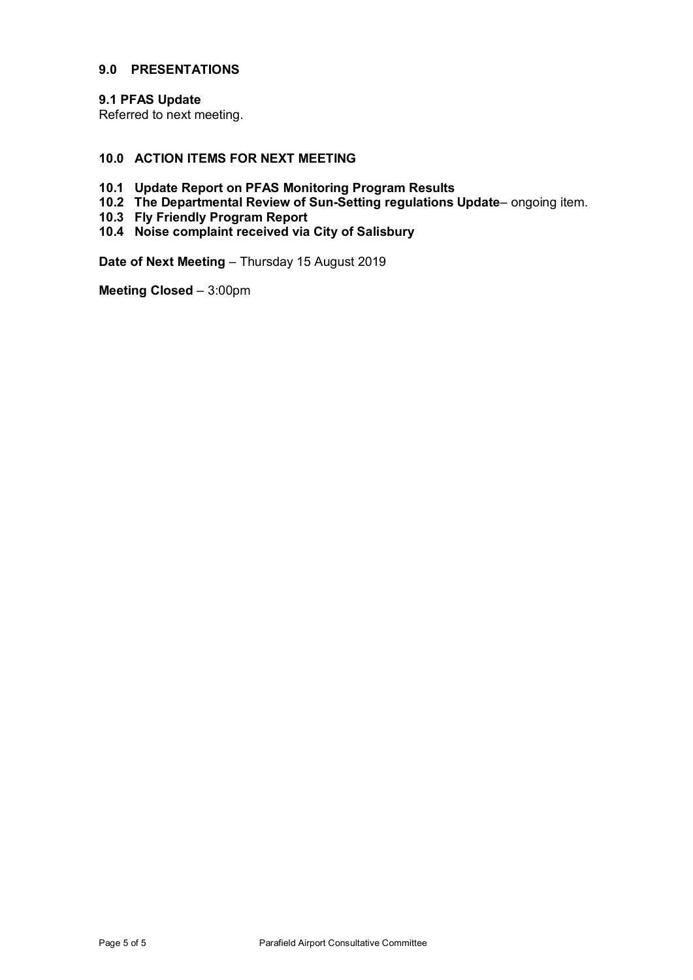### **9.0 PRESENTATIONS**

### **9.1 PFAS Update**

Referred to next meeting.

# **10.0 ACTION ITEMS FOR NEXT MEETING**

- **10.1 Update Report on PFAS Monitoring Program Results**
- **10.2 The Departmental Review of Sun-Setting regulations Update** ongoing item.
- **10.3 Fly Friendly Program Report**
- **10.4 Noise complaint received via City of Salisbury**

**Date of Next Meeting** – Thursday 15 August 2019

**Meeting Closed** – 3:00pm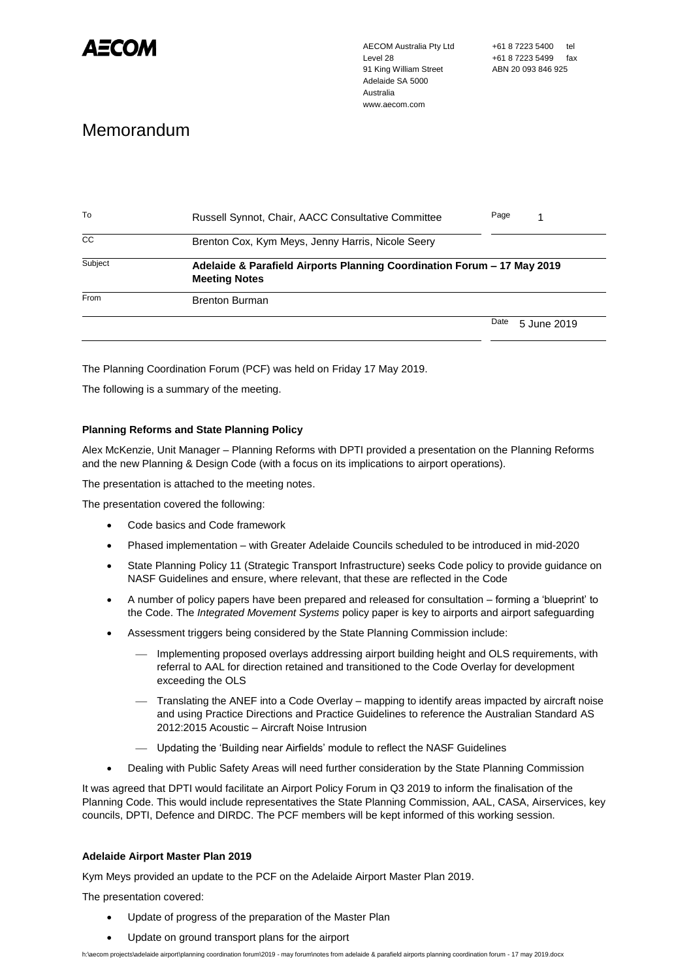

AECOM Australia Pty Ltd Level 28 91 King William Street Adelaide SA 5000 Australia www.aecom.com

# Memorandum

| To      | <b>Russell Synnot, Chair, AACC Consultative Committee</b>                                       | Page                |  |
|---------|-------------------------------------------------------------------------------------------------|---------------------|--|
| CC      | Brenton Cox, Kym Meys, Jenny Harris, Nicole Seery                                               |                     |  |
| Subject | Adelaide & Parafield Airports Planning Coordination Forum - 17 May 2019<br><b>Meeting Notes</b> |                     |  |
| From    | <b>Brenton Burman</b>                                                                           |                     |  |
|         |                                                                                                 | Date<br>5 June 2019 |  |

The Planning Coordination Forum (PCF) was held on Friday 17 May 2019.

The following is a summary of the meeting.

#### **Planning Reforms and State Planning Policy**

Alex McKenzie, Unit Manager – Planning Reforms with DPTI provided a presentation on the Planning Reforms and the new Planning & Design Code (with a focus on its implications to airport operations).

The presentation is attached to the meeting notes.

The presentation covered the following:

- Code basics and Code framework
- Phased implementation with Greater Adelaide Councils scheduled to be introduced in mid-2020
- State Planning Policy 11 (Strategic Transport Infrastructure) seeks Code policy to provide guidance on NASF Guidelines and ensure, where relevant, that these are reflected in the Code
- A number of policy papers have been prepared and released for consultation forming a 'blueprint' to the Code. The *Integrated Movement Systems* policy paper is key to airports and airport safeguarding
- Assessment triggers being considered by the State Planning Commission include:
	- Implementing proposed overlays addressing airport building height and OLS requirements, with referral to AAL for direction retained and transitioned to the Code Overlay for development exceeding the OLS
	- Translating the ANEF into a Code Overlay mapping to identify areas impacted by aircraft noise and using Practice Directions and Practice Guidelines to reference the Australian Standard AS 2012:2015 Acoustic – Aircraft Noise Intrusion
	- ⎯ Updating the 'Building near Airfields' module to reflect the NASF Guidelines
- Dealing with Public Safety Areas will need further consideration by the State Planning Commission

It was agreed that DPTI would facilitate an Airport Policy Forum in Q3 2019 to inform the finalisation of the Planning Code. This would include representatives the State Planning Commission, AAL, CASA, Airservices, key councils, DPTI, Defence and DIRDC. The PCF members will be kept informed of this working session.

#### **Adelaide Airport Master Plan 2019**

Kym Meys provided an update to the PCF on the Adelaide Airport Master Plan 2019.

The presentation covered:

- Update of progress of the preparation of the Master Plan
- Update on ground transport plans for the airport

h:\aecom projects\adelaide airport\planning coordination forum\2019 - may forum\notes from adelaide & parafield airports planning coordination forum - 17 may 2019.docx